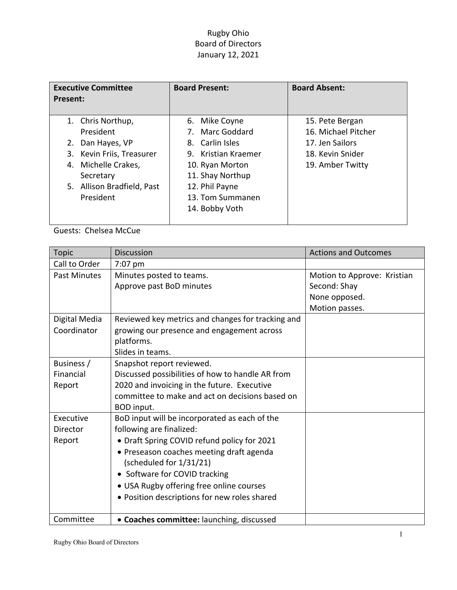## Rugby Ohio Board of Directors January 12, 2021

| <b>Executive Committee</b><br>Present:                                                                                                                            | <b>Board Present:</b>                                                                                                                                                     | <b>Board Absent:</b>                                                                              |
|-------------------------------------------------------------------------------------------------------------------------------------------------------------------|---------------------------------------------------------------------------------------------------------------------------------------------------------------------------|---------------------------------------------------------------------------------------------------|
| 1. Chris Northup,<br>President<br>2. Dan Hayes, VP<br>3. Kevin Friis, Treasurer<br>Michelle Crakes,<br>4.<br>Secretary<br>5. Allison Bradfield, Past<br>President | 6. Mike Coyne<br>7. Marc Goddard<br>8. Carlin Isles<br>9. Kristian Kraemer<br>10. Ryan Morton<br>11. Shay Northup<br>12. Phil Payne<br>13. Tom Summanen<br>14. Bobby Voth | 15. Pete Bergan<br>16. Michael Pitcher<br>17. Jen Sailors<br>18. Kevin Snider<br>19. Amber Twitty |

Guests: Chelsea McCue

| <b>Topic</b>        | <b>Discussion</b>                                 | <b>Actions and Outcomes</b> |
|---------------------|---------------------------------------------------|-----------------------------|
| Call to Order       | 7:07 pm                                           |                             |
| <b>Past Minutes</b> | Minutes posted to teams.                          | Motion to Approve: Kristian |
|                     | Approve past BoD minutes                          | Second: Shay                |
|                     |                                                   | None opposed.               |
|                     |                                                   | Motion passes.              |
| Digital Media       | Reviewed key metrics and changes for tracking and |                             |
| Coordinator         | growing our presence and engagement across        |                             |
|                     | platforms.                                        |                             |
|                     | Slides in teams.                                  |                             |
| Business /          | Snapshot report reviewed.                         |                             |
| Financial           | Discussed possibilities of how to handle AR from  |                             |
| Report              | 2020 and invoicing in the future. Executive       |                             |
|                     | committee to make and act on decisions based on   |                             |
|                     | <b>BOD</b> input.                                 |                             |
| Executive           | BoD input will be incorporated as each of the     |                             |
| Director            | following are finalized:                          |                             |
| Report              | • Draft Spring COVID refund policy for 2021       |                             |
|                     | • Preseason coaches meeting draft agenda          |                             |
|                     | (scheduled for 1/31/21)                           |                             |
|                     | • Software for COVID tracking                     |                             |
|                     | • USA Rugby offering free online courses          |                             |
|                     | · Position descriptions for new roles shared      |                             |
|                     |                                                   |                             |
| Committee           | • Coaches committee: launching, discussed         |                             |